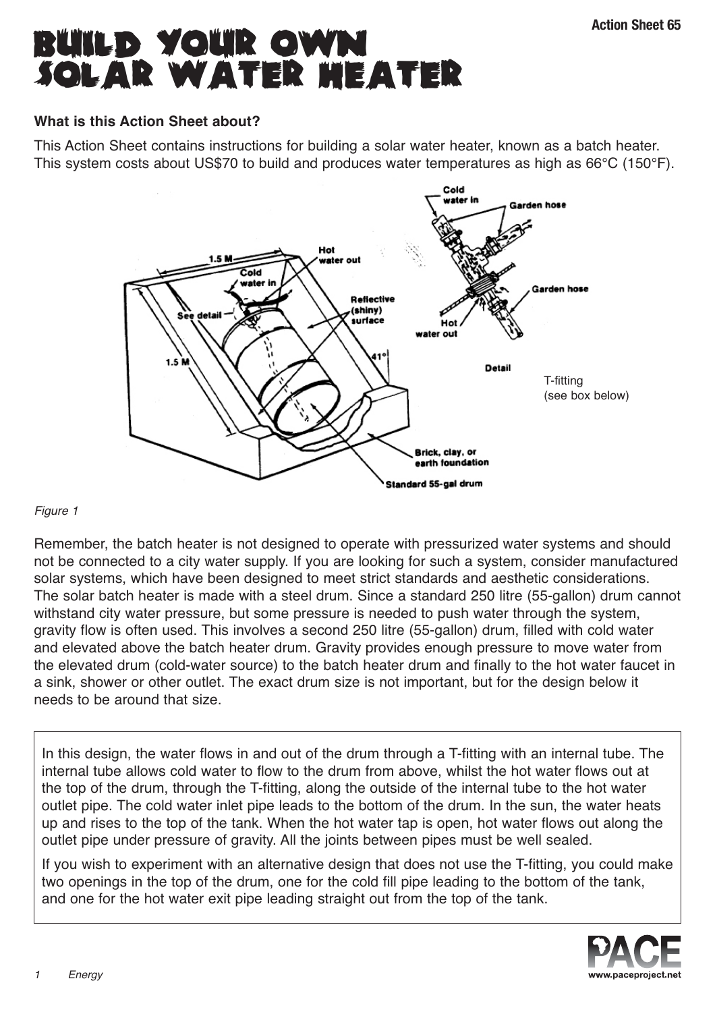# **BUILD YOUR OWN SOLAR WATER HEATER**

### **What is this Action Sheet about?**

This Action Sheet contains instructions for building a solar water heater, known as a batch heater. This system costs about US\$70 to build and produces water temperatures as high as 66°C (150°F).



#### Figure 1

Remember, the batch heater is not designed to operate with pressurized water systems and should not be connected to a city water supply. If you are looking for such a system, consider manufactured solar systems, which have been designed to meet strict standards and aesthetic considerations. The solar batch heater is made with a steel drum. Since a standard 250 litre (55-gallon) drum cannot withstand city water pressure, but some pressure is needed to push water through the system, gravity flow is often used. This involves a second 250 litre (55-gallon) drum, filled with cold water and elevated above the batch heater drum. Gravity provides enough pressure to move water from the elevated drum (cold-water source) to the batch heater drum and finally to the hot water faucet in a sink, shower or other outlet. The exact drum size is not important, but for the design below it needs to be around that size.

In this design, the water flows in and out of the drum through a T-fitting with an internal tube. The internal tube allows cold water to flow to the drum from above, whilst the hot water flows out at the top of the drum, through the T-fitting, along the outside of the internal tube to the hot water outlet pipe. The cold water inlet pipe leads to the bottom of the drum. In the sun, the water heats up and rises to the top of the tank. When the hot water tap is open, hot water flows out along the outlet pipe under pressure of gravity. All the joints between pipes must be well sealed.

If you wish to experiment with an alternative design that does not use the T-fitting, you could make two openings in the top of the drum, one for the cold fill pipe leading to the bottom of the tank, and one for the hot water exit pipe leading straight out from the top of the tank.

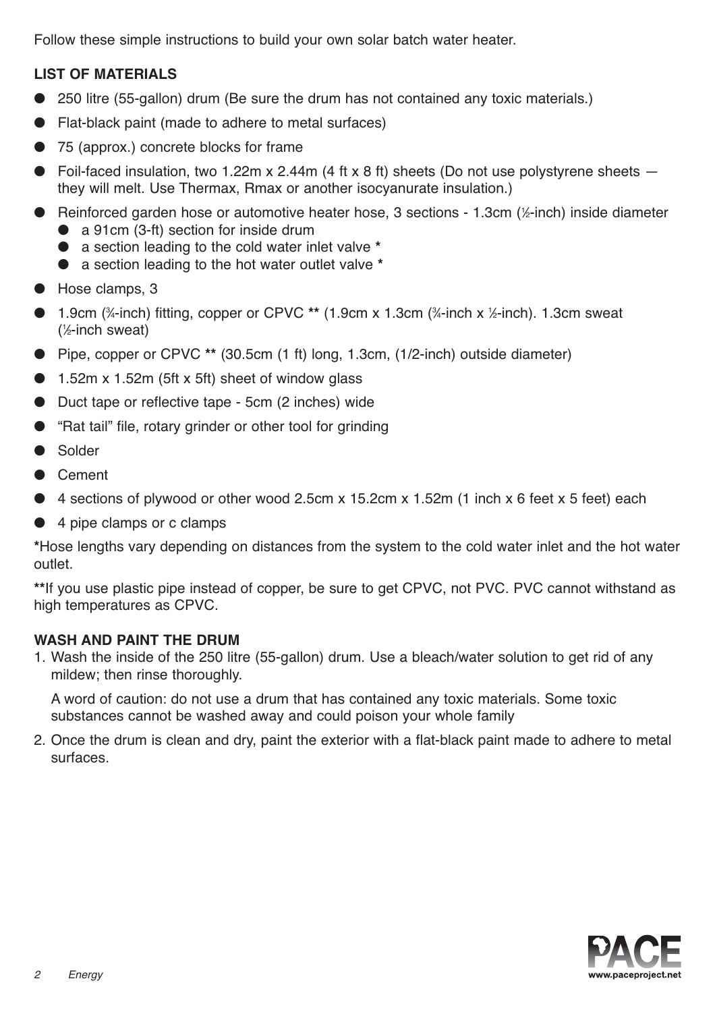Follow these simple instructions to build your own solar batch water heater.

#### **LIST OF MATERIALS**

- 250 litre (55-gallon) drum (Be sure the drum has not contained any toxic materials.)
- Flat-black paint (made to adhere to metal surfaces)
- 75 (approx.) concrete blocks for frame
- Foil-faced insulation, two 1.22m x 2.44m (4 ft x 8 ft) sheets (Do not use polystyrene sheets  $$ they will melt. Use Thermax, Rmax or another isocyanurate insulation.)
- Reinforced garden hose or automotive heater hose, 3 sections 1.3cm (½-inch) inside diameter
	- a 91cm (3-ft) section for inside drum
	- a section leading to the cold water inlet valve **\***
	- a section leading to the hot water outlet valve **\***
- Hose clamps, 3
- 1.9cm (¾-inch) fitting, copper or CPVC \*\* (1.9cm x 1.3cm (¾-inch x ½-inch). 1.3cm sweat ( 1 ⁄2-inch sweat)
- Pipe, copper or CPVC **\*\*** (30.5cm (1 ft) long, 1.3cm, (1/2-inch) outside diameter)
- $\bullet$  1.52m x 1.52m (5ft x 5ft) sheet of window glass
- Duct tape or reflective tape 5cm (2 inches) wide
- "Rat tail" file, rotary grinder or other tool for grinding
- Solder
- Cement
- $\bullet$  4 sections of plywood or other wood 2.5cm x 15.2cm x 1.52m (1 inch x 6 feet x 5 feet) each
- 4 pipe clamps or c clamps

**\***Hose lengths vary depending on distances from the system to the cold water inlet and the hot water outlet.

**\*\***If you use plastic pipe instead of copper, be sure to get CPVC, not PVC. PVC cannot withstand as high temperatures as CPVC.

#### **WASH AND PAINT THE DRUM**

1. Wash the inside of the 250 litre (55-gallon) drum. Use a bleach/water solution to get rid of any mildew; then rinse thoroughly.

A word of caution: do not use a drum that has contained any toxic materials. Some toxic substances cannot be washed away and could poison your whole family

2. Once the drum is clean and dry, paint the exterior with a flat-black paint made to adhere to metal surfaces.

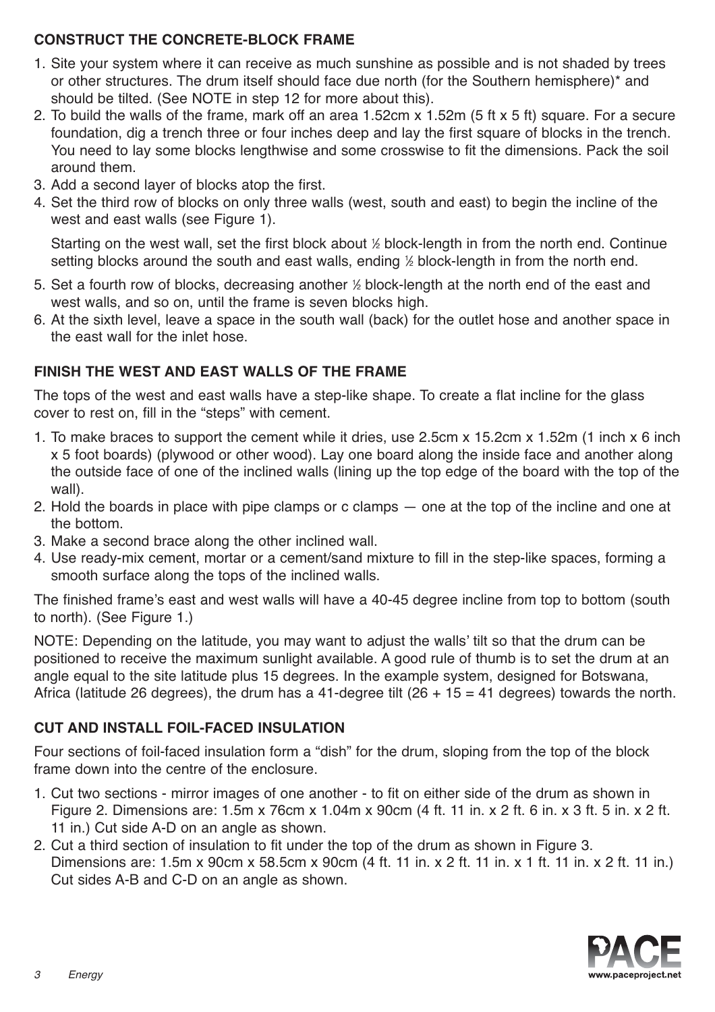#### **CONSTRUCT THE CONCRETE-BLOCK FRAME**

- 1. Site your system where it can receive as much sunshine as possible and is not shaded by trees or other structures. The drum itself should face due north (for the Southern hemisphere)\* and should be tilted. (See NOTE in step 12 for more about this).
- 2. To build the walls of the frame, mark off an area 1.52cm x 1.52m (5 ft x 5 ft) square. For a secure foundation, dig a trench three or four inches deep and lay the first square of blocks in the trench. You need to lay some blocks lengthwise and some crosswise to fit the dimensions. Pack the soil around them.
- 3. Add a second layer of blocks atop the first.
- 4. Set the third row of blocks on only three walls (west, south and east) to begin the incline of the west and east walls (see Figure 1).

Starting on the west wall, set the first block about ½ block-length in from the north end. Continue setting blocks around the south and east walls, ending ½ block-length in from the north end.

- 5. Set a fourth row of blocks, decreasing another ½ block-length at the north end of the east and west walls, and so on, until the frame is seven blocks high.
- 6. At the sixth level, leave a space in the south wall (back) for the outlet hose and another space in the east wall for the inlet hose.

#### **FINISH THE WEST AND EAST WALLS OF THE FRAME**

The tops of the west and east walls have a step-like shape. To create a flat incline for the glass cover to rest on, fill in the "steps" with cement.

- 1. To make braces to support the cement while it dries, use 2.5cm x 15.2cm x 1.52m (1 inch x 6 inch x 5 foot boards) (plywood or other wood). Lay one board along the inside face and another along the outside face of one of the inclined walls (lining up the top edge of the board with the top of the wall).
- 2. Hold the boards in place with pipe clamps or c clamps one at the top of the incline and one at the bottom.
- 3. Make a second brace along the other inclined wall.
- 4. Use ready-mix cement, mortar or a cement/sand mixture to fill in the step-like spaces, forming a smooth surface along the tops of the inclined walls.

The finished frame's east and west walls will have a 40-45 degree incline from top to bottom (south to north). (See Figure 1.)

NOTE: Depending on the latitude, you may want to adjust the walls' tilt so that the drum can be positioned to receive the maximum sunlight available. A good rule of thumb is to set the drum at an angle equal to the site latitude plus 15 degrees. In the example system, designed for Botswana, Africa (latitude 26 degrees), the drum has a 41-degree tilt  $(26 + 15 = 41$  degrees) towards the north.

#### **CUT AND INSTALL FOIL-FACED INSULATION**

Four sections of foil-faced insulation form a "dish" for the drum, sloping from the top of the block frame down into the centre of the enclosure.

- 1. Cut two sections mirror images of one another to fit on either side of the drum as shown in Figure 2. Dimensions are: 1.5m x 76cm x 1.04m x 90cm (4 ft. 11 in. x 2 ft. 6 in. x 3 ft. 5 in. x 2 ft. 11 in.) Cut side A-D on an angle as shown.
- 2. Cut a third section of insulation to fit under the top of the drum as shown in Figure 3. Dimensions are: 1.5m x 90cm x 58.5cm x 90cm (4 ft. 11 in. x 2 ft. 11 in. x 1 ft. 11 in. x 2 ft. 11 in.) Cut sides A-B and C-D on an angle as shown.

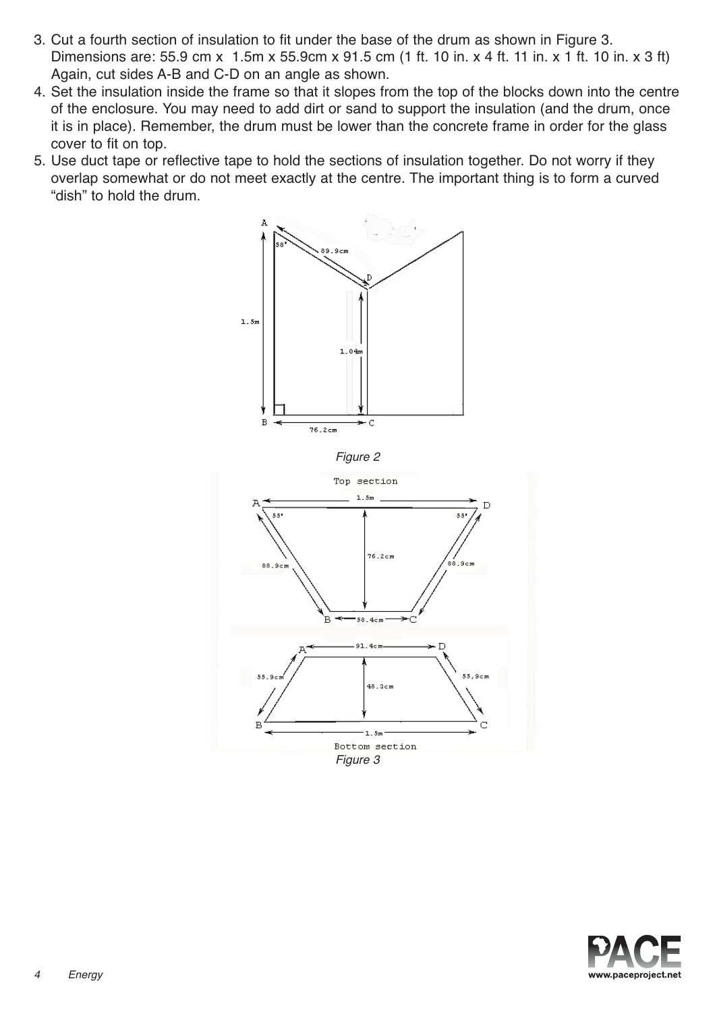- 3. Cut a fourth section of insulation to fit under the base of the drum as shown in Figure 3. Dimensions are: 55.9 cm x 1.5m x 55.9cm x 91.5 cm (1 ft. 10 in. x 4 ft. 11 in. x 1 ft. 10 in. x 3 ft) Again, cut sides A-B and C-D on an angle as shown.
- 4. Set the insulation inside the frame so that it slopes from the top of the blocks down into the centre of the enclosure. You may need to add dirt or sand to support the insulation (and the drum, once it is in place). Remember, the drum must be lower than the concrete frame in order for the glass cover to fit on top.
- 5. Use duct tape or reflective tape to hold the sections of insulation together. Do not worry if they overlap somewhat or do not meet exactly at the centre. The important thing is to form a curved "dish" to hold the drum.







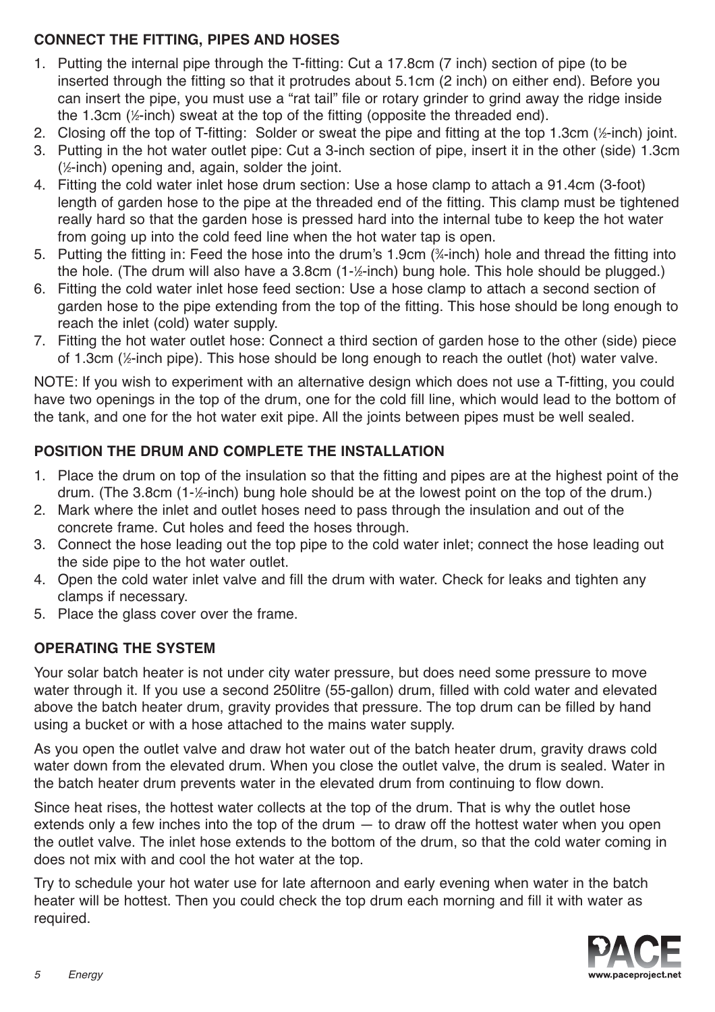### **CONNECT THE FITTING, PIPES AND HOSES**

- 1. Putting the internal pipe through the T-fitting: Cut a 17.8cm (7 inch) section of pipe (to be inserted through the fitting so that it protrudes about 5.1cm (2 inch) on either end). Before you can insert the pipe, you must use a "rat tail" file or rotary grinder to grind away the ridge inside the 1.3cm (½-inch) sweat at the top of the fitting (opposite the threaded end).
- 2. Closing off the top of T-fitting: Solder or sweat the pipe and fitting at the top 1.3cm (1 ⁄2-inch) joint.
- 3. Putting in the hot water outlet pipe: Cut a 3-inch section of pipe, insert it in the other (side) 1.3cm ( 1 ⁄2-inch) opening and, again, solder the joint.
- 4. Fitting the cold water inlet hose drum section: Use a hose clamp to attach a 91.4cm (3-foot) length of garden hose to the pipe at the threaded end of the fitting. This clamp must be tightened really hard so that the garden hose is pressed hard into the internal tube to keep the hot water from going up into the cold feed line when the hot water tap is open.
- 5. Putting the fitting in: Feed the hose into the drum's 1.9cm (¼-inch) hole and thread the fitting into the hole. (The drum will also have a 3.8cm (1-½-inch) bung hole. This hole should be plugged.)
- 6. Fitting the cold water inlet hose feed section: Use a hose clamp to attach a second section of garden hose to the pipe extending from the top of the fitting. This hose should be long enough to reach the inlet (cold) water supply.
- 7. Fitting the hot water outlet hose: Connect a third section of garden hose to the other (side) piece of 1.3cm (1 ⁄2-inch pipe). This hose should be long enough to reach the outlet (hot) water valve.

NOTE: If you wish to experiment with an alternative design which does not use a T-fitting, you could have two openings in the top of the drum, one for the cold fill line, which would lead to the bottom of the tank, and one for the hot water exit pipe. All the joints between pipes must be well sealed.

# **POSITION THE DRUM AND COMPLETE THE INSTALLATION**

- 1. Place the drum on top of the insulation so that the fitting and pipes are at the highest point of the drum. (The 3.8cm (1-½-inch) bung hole should be at the lowest point on the top of the drum.)
- 2. Mark where the inlet and outlet hoses need to pass through the insulation and out of the concrete frame. Cut holes and feed the hoses through.
- 3. Connect the hose leading out the top pipe to the cold water inlet; connect the hose leading out the side pipe to the hot water outlet.
- 4. Open the cold water inlet valve and fill the drum with water. Check for leaks and tighten any clamps if necessary.
- 5. Place the glass cover over the frame.

# **OPERATING THE SYSTEM**

Your solar batch heater is not under city water pressure, but does need some pressure to move water through it. If you use a second 250litre (55-gallon) drum, filled with cold water and elevated above the batch heater drum, gravity provides that pressure. The top drum can be filled by hand using a bucket or with a hose attached to the mains water supply.

As you open the outlet valve and draw hot water out of the batch heater drum, gravity draws cold water down from the elevated drum. When you close the outlet valve, the drum is sealed. Water in the batch heater drum prevents water in the elevated drum from continuing to flow down.

Since heat rises, the hottest water collects at the top of the drum. That is why the outlet hose extends only a few inches into the top of the drum  $-$  to draw off the hottest water when you open the outlet valve. The inlet hose extends to the bottom of the drum, so that the cold water coming in does not mix with and cool the hot water at the top.

Try to schedule your hot water use for late afternoon and early evening when water in the batch heater will be hottest. Then you could check the top drum each morning and fill it with water as required.